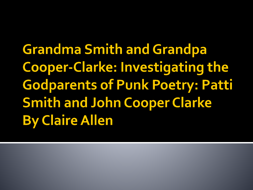**Grandma Smith and Grandpa Cooper-Clarke: Investigating the Godparents of Punk Poetry: Patti Smith and John Cooper Clarke By Claire Allen**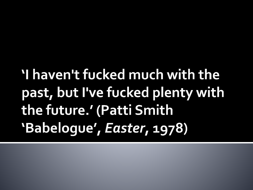## I haven't fucked much with the past, but I've fucked plenty with the future.' (Patti Smith 'Babelogue', Easter, 1978)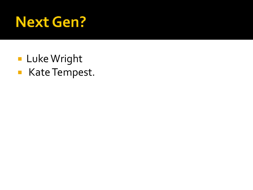#### **Next Gen?**

**Luke Wright** Kate Tempest.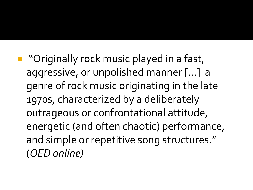**T** "Originally rock music played in a fast, aggressive, or unpolished manner […] a genre of rock music originating in the late 1970s, characterized by a deliberately outrageous or confrontational attitude, energetic (and often chaotic) performance, and simple or repetitive song structures." (*OED online)*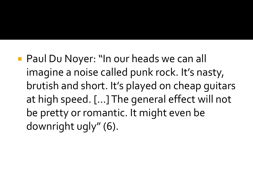**Paul Du Noyer: "In our heads we can all** imagine a noise called punk rock. It's nasty, brutish and short. It's played on cheap guitars at high speed. […] The general effect will not be pretty or romantic. It might even be downright ugly" (6).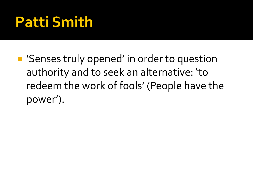## **Patti Smith**

■ 'Senses truly opened' in order to question authority and to seek an alternative: 'to redeem the work of fools' (People have the power').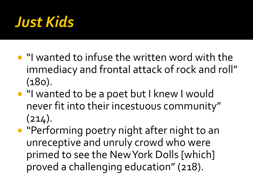

- **I** "I wanted to infuse the written word with the immediacy and frontal attack of rock and roll" (180).
- "I wanted to be a poet but I knew I would never fit into their incestuous community"  $(214).$
- **Paraming poetry night after night to an** unreceptive and unruly crowd who were primed to see the New York Dolls [which] proved a challenging education" (218).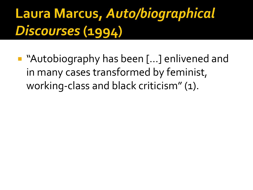#### Laura Marcus, Auto/biographical Discourses (1994)

■ "Autobiography has been [...] enlivened and in many cases transformed by feminist, working-class and black criticism" (1).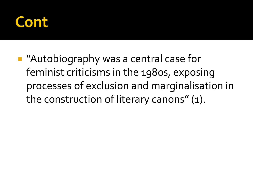#### Cont

**Autobiography was a central case for** feminist criticisms in the 1980s, exposing processes of exclusion and marginalisation in the construction of literary canons" (1).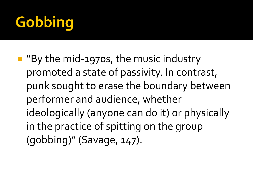# Gobbing

**By the mid-1970s, the music industry** promoted a state of passivity. In contrast, punk sought to erase the boundary between performer and audience, whether ideologically (anyone can do it) or physically in the practice of spitting on the group (gobbing)" (Savage, 147).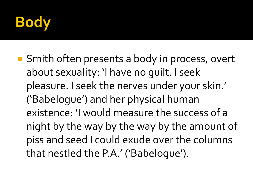

■ Smith often presents a body in process, overt about sexuality: 'I have no guilt. I seek pleasure. I seek the nerves under your skin.' ('Babelogue') and her physical human existence: 'I would measure the success of a night by the way by the way by the amount of piss and seed I could exude over the columns that nestled the P.A.' ('Babelogue').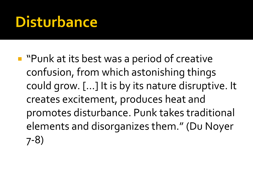#### **Disturbance**

**P** "Punk at its best was a period of creative confusion, from which astonishing things could grow. […] It is by its nature disruptive. It creates excitement, produces heat and promotes disturbance. Punk takes traditional elements and disorganizes them." (Du Noyer 7-8)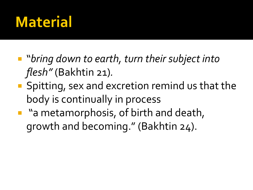#### **Material**

- "*bring down to earth, turn their subject into flesh"* (Bakhtin 21)*.*
- **Spitting, sex and excretion remind us that the** body is continually in process
- **n** "a metamorphosis, of birth and death, growth and becoming." (Bakhtin 24).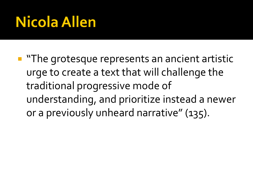## **Nicola Allen**

**The grotesque represents an ancient artistic** urge to create a text that will challenge the traditional progressive mode of understanding, and prioritize instead a newer or a previously unheard narrative" (135).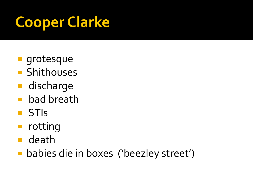# **Cooper Clarke**

- **grotesque**
- **Shithouses**
- **discharge**
- **bad breath**
- **STIS**
- **n** rotting
- death
- **babies die in boxes ('beezley street')**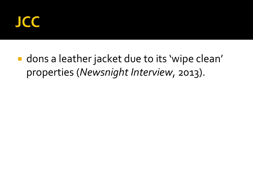

**dons a leather jacket due to its 'wipe clean'** properties (*Newsnight Interview*, 2013).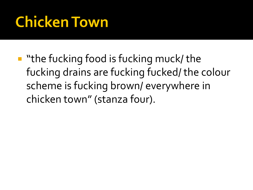## **Chicken Town**

 $\blacksquare$  "the fucking food is fucking muck/ the fucking drains are fucking fucked/ the colour scheme is fucking brown/ everywhere in chicken town" (stanza four).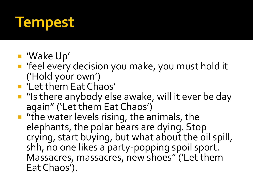### **Tempest**

- 'Wake Up'
- 'feel every decision you make, you must hold it ('Hold your own')
- **E** 'Let them Eat Chaos'
- **I** "Is there anybody else awake, will it ever be day again" ('Let them Eat Chaos')
- **T** "the water levels rising, the animals, the elephants, the polar bears are dying. Stop crying, start buying, but what about the oil spill, shh, no one likes a party-popping spoil sport. Massacres, massacres, new shoes" ('Let them Eat Chaos').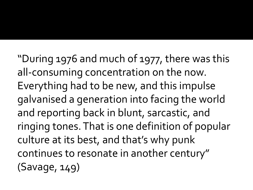"During 1976 and much of 1977, there was this all-consuming concentration on the now. Everything had to be new, and this impulse galvanised a generation into facing the world and reporting back in blunt, sarcastic, and ringing tones. That is one definition of popular culture at its best, and that's why punk continues to resonate in another century" (Savage, 149)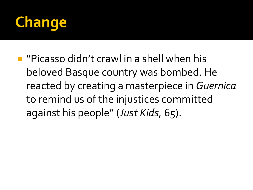

**P** "Picasso didn't crawl in a shell when his beloved Basque country was bombed. He reacted by creating a masterpiece in *Guernica* to remind us of the injustices committed against his people" (*Just Kids,* 65).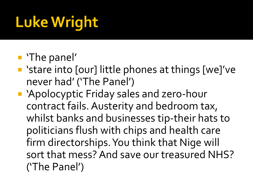# **Luke Wright**

#### **The panel'**

- 'stare into [our] little phones at things [we]'ve never had' ('The Panel')
- 'Apolocyptic Friday sales and zero-hour contract fails. Austerity and bedroom tax, whilst banks and businesses tip-their hats to politicians flush with chips and health care firm directorships. You think that Nige will sort that mess? And save our treasured NHS? ('The Panel')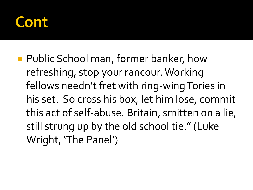#### **ont**

**Public School man, former banker, how** refreshing, stop your rancour. Working fellows needn't fret with ring-wing Tories in his set. So cross his box, let him lose, commit this act of self-abuse. Britain, smitten on a lie, still strung up by the old school tie." (Luke Wright, 'The Panel')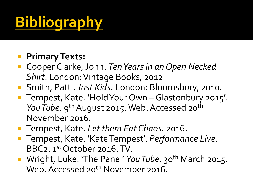# **Bibliography**

#### **Primary Texts:**

- Cooper Clarke, John. *Ten Years in an Open Necked Shirt*. London: Vintage Books, 2012
- Smith, Patti. *Just Kids*. London: Bloomsbury, 2010.
- Tempest, Kate. 'Hold Your Own Glastonbury 2015'. You Tube. 9<sup>th</sup> August 2015. Web. Accessed 20<sup>th</sup> November 2016.
- Tempest, Kate. Let them Eat Chaos. 2016.
- Tempest, Kate. 'Kate Tempest'. *Performance Live*. BBC2. 1st October 2016. TV.
- **Wright, Luke. 'The Panel'** *You Tube*. 30<sup>th</sup> March 2015. Web. Accessed 20<sup>th</sup> November 2016.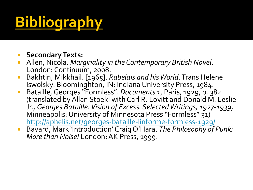# **Bibliography**

- **Secondary Texts:**
- Allen, Nicola. *Marginality in the Contemporary British Novel*. London: Continuum, 2008.
- Bakhtin, Mikkhail. [1965]. *Rabelais and his World*. Trans Helene Iswolsky. Bloominghton, IN: Indiana University Press, 1984.
- Bataille, Georges "Formless". *Documents 1*, Paris, 1929, p. 382 (translated by Allan Stoekl with Carl R. Lovitt and Donald M. Leslie Jr., *Georges Bataille. Vision of Excess. Selected Writings, 1927-1939*, Minneapolis: University of Minnesota Press "Formless" 31) <http://aphelis.net/georges-bataille-linforme-formless-1929/>
- Bayard, Mark 'Introduction' Craig O'Hara. *The Philosophy of Punk: More than Noise!* London: AK Press, 1999.